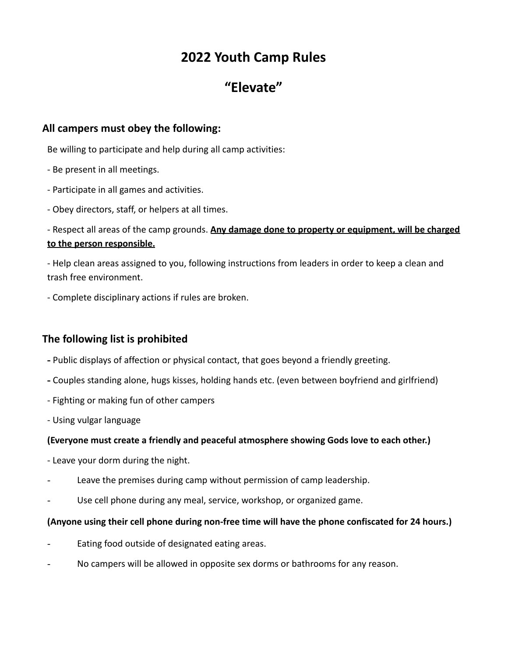# **2022 Youth Camp Rules**

# **"Elevate"**

### **All campers must obey the following:**

Be willing to participate and help during all camp activities:

- Be present in all meetings.
- Participate in all games and activities.
- Obey directors, staff, or helpers at all times.

## - Respect all areas of the camp grounds. **Any damage done to property or equipment, will be charged to the person responsible.**

- Help clean areas assigned to you, following instructions from leaders in order to keep a clean and trash free environment.

- Complete disciplinary actions if rules are broken.

# **The following list is prohibited**

- **-** Public displays of affection or physical contact, that goes beyond a friendly greeting.
- **-** Couples standing alone, hugs kisses, holding hands etc. (even between boyfriend and girlfriend)
- Fighting or making fun of other campers
- Using vulgar language

#### **(Everyone must create a friendly and peaceful atmosphere showing Gods love to each other.)**

- Leave your dorm during the night.
- Leave the premises during camp without permission of camp leadership.
- Use cell phone during any meal, service, workshop, or organized game.

#### **(Anyone using their cell phone during non-free time will have the phone confiscated for 24 hours.)**

- Eating food outside of designated eating areas.
- No campers will be allowed in opposite sex dorms or bathrooms for any reason.